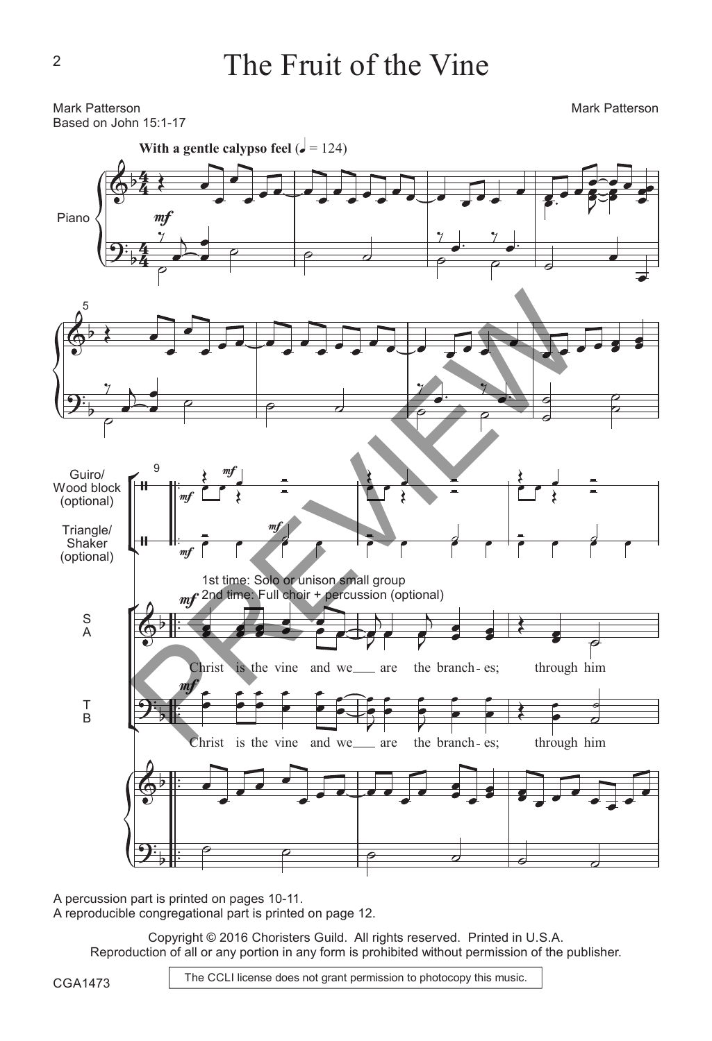Mark Patterson Based on John 15:1-17 **With a gentle calypso feel**  $\overrightarrow{e}$  **= 124)** Mark Patterson 5 Guiro/ $9^9$ Wood block (optional) Triangle/ Shaker (optional) S A T  $\dot{\mathsf{B}}$ 4 4 4 4 Piano  $\langle \vert \eta$  $m$ mf mf mf Christ mf 1st time: Solo or unison small group 2nd time: Full choir + percussion (optional) is the vine and we are the branch es; through him Christ mf is the vine and we are the branch es; through him  $\frac{1}{m}$ <br>
Previewer and we are the branch-es: through<br>
Previewer and we are the branch-es: through<br>
Previewer and we are the branch-es: through<br>
Previewer and we are the branch-es: through<br>
Previewer and we are the branc

A percussion part is printed on pages 10-11. A reproducible congregational part is printed on page 12.

> Copyright © 2016 Choristers Guild. All rights reserved. Printed in U.S.A. Reproduction of all or any portion in any form is prohibited without permission of the publisher.

CGA1473

The CCLI license does not grant permission to photocopy this music.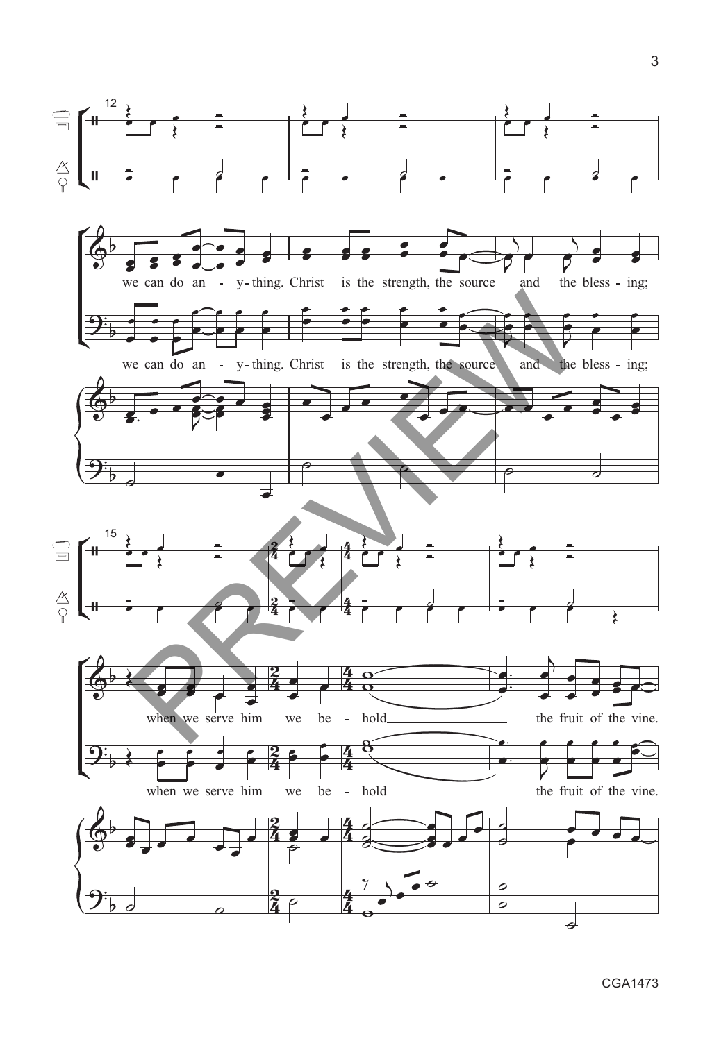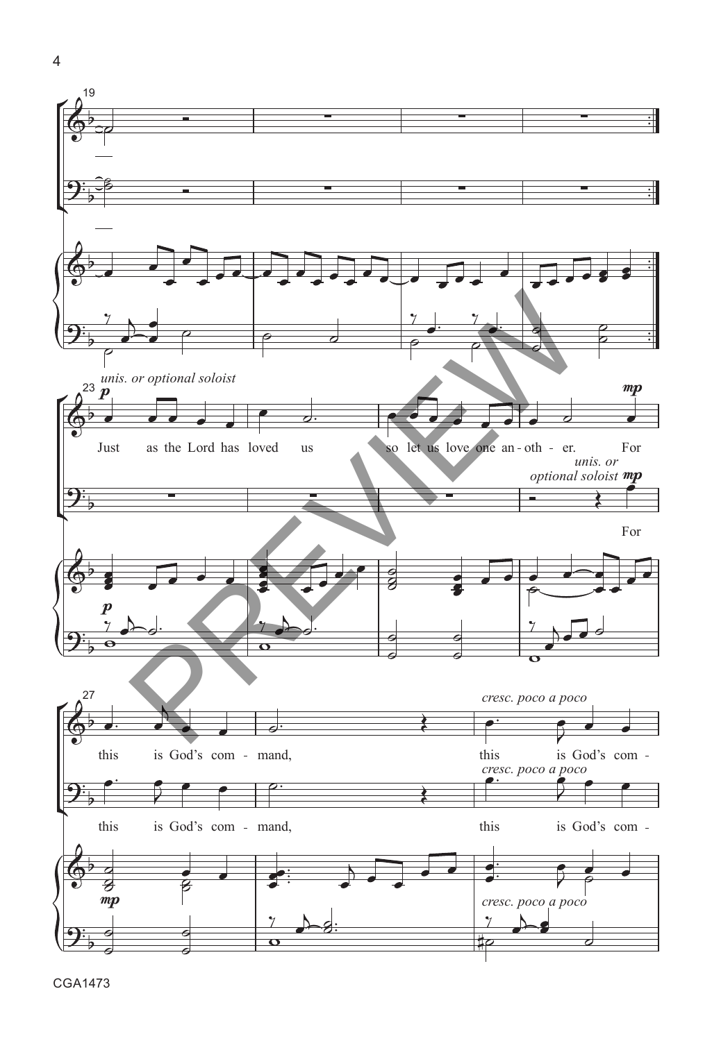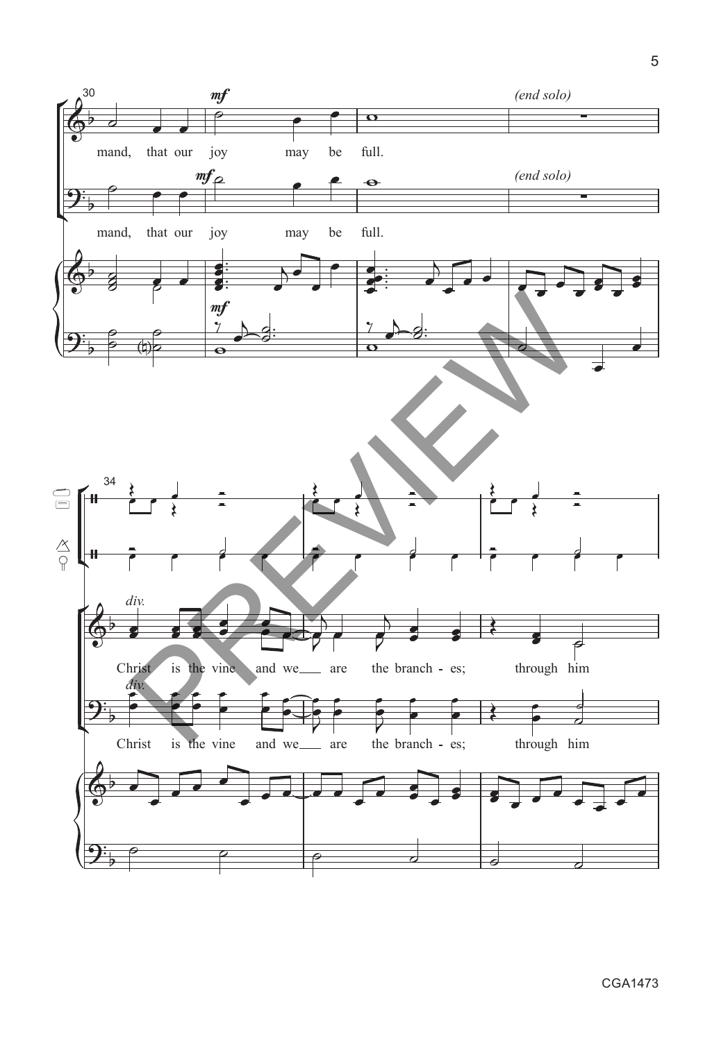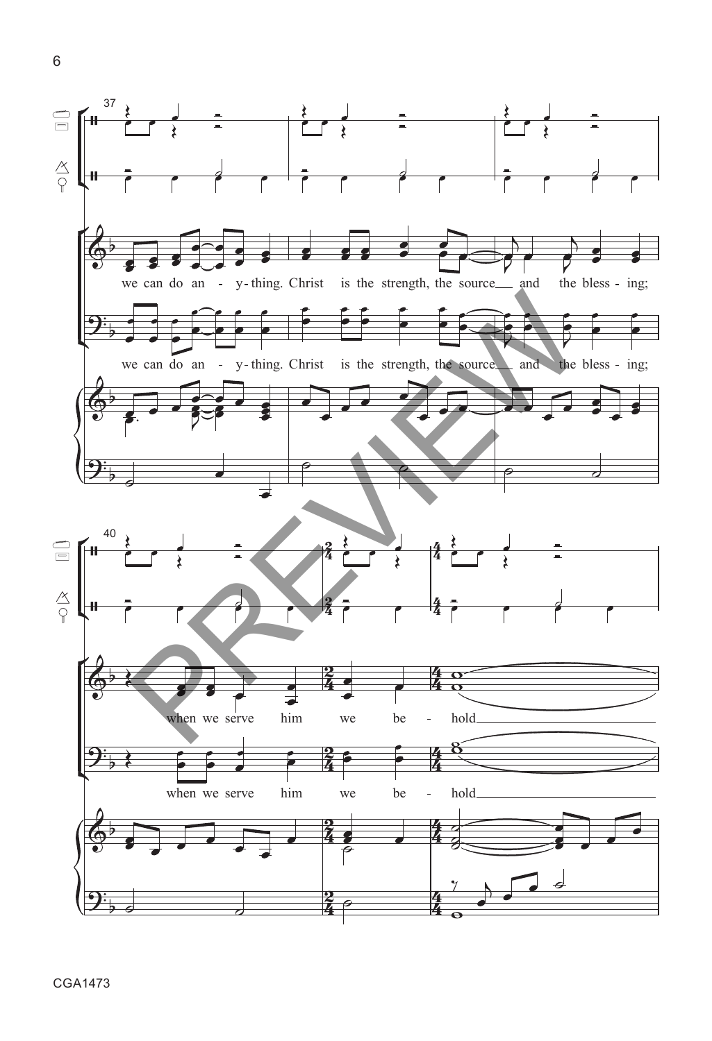